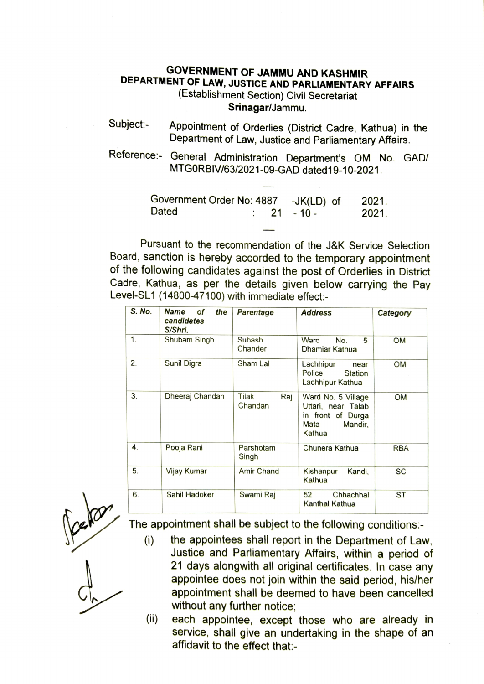## GOVERNMENT OF JAMMU AND KASHMIR DEPARTMENT OF LAW, JUSTICE AND PARLIAMENTARY AFFAIRS (Establishment Section) Civil Secretariat Srinagar/Jammu.

- Subject: Appointment of Orderlies (District Cadre, Kathua) in the Department of Law, Justice and Parliamentary Affairs.
- Reference: General Administration Department's OM No. GAD/ MTGORBIV/63/2021-09-GAD dated19-10-2021.

| Government Order No: 4887 -JK(LD) of |  |  |                        | 2021. |  |
|--------------------------------------|--|--|------------------------|-------|--|
| <b>Dated</b>                         |  |  | $\therefore$ 21 - 10 - | 2021. |  |

Pursuant to the recommendation of the J&K Service Selection Board, sanction is hereby accorded to the temporary appointment of the following candidates against the post of Orderlies in District Cadre, Kathua, as per the details given below carrying the Pay Level-SL1 (14800-47100) with immediate effect:

| S. No. | <b>Name</b><br>οf<br>the<br>candidates<br>S/Shri. | Parentage               | <b>Address</b>                                                                             | Category   |
|--------|---------------------------------------------------|-------------------------|--------------------------------------------------------------------------------------------|------------|
| 1.     | Shubam Singh                                      | Subash<br>Chander       | Ward<br>No.<br>5<br>Dhamiar Kathua                                                         | OМ         |
| 2.     | Sunil Digra                                       | Sham Lal                | Lachhipur<br>near<br>Police<br><b>Station</b><br>Lachhipur Kathua                          | <b>OM</b>  |
| 3.     | Dheeraj Chandan                                   | Tilak<br>Raj<br>Chandan | Ward No. 5 Village<br>Uttari, near Talab<br>in front of Durga<br>Mata<br>Mandir,<br>Kathua | OM         |
| 4.     | Pooja Rani                                        | Parshotam<br>Singh      | Chunera Kathua                                                                             | <b>RBA</b> |
| 5.     | Vijay Kumar                                       | <b>Amir Chand</b>       | Kandi,<br>Kishanpur<br>Kathua                                                              | <b>SC</b>  |
| 6.     | Sahil Hadoker                                     | Swami Raj               | 52<br>Chhachhal<br>Kanthal Kathua                                                          | <b>ST</b>  |



The appointment shall be subject to the following conditions:-

- (i) the appointees shall report in the Department of Law, Justice and Parliamentary Affairs, within a period of 21 days alongwith all original certificates. In case any appointee does not join within the said period, his/her appointment shall be deemed to have been cancelled without any further notice;
- (ii) each appointee, except those who are already in service, shall give an undertaking in the shape of an affidavit to the effect that: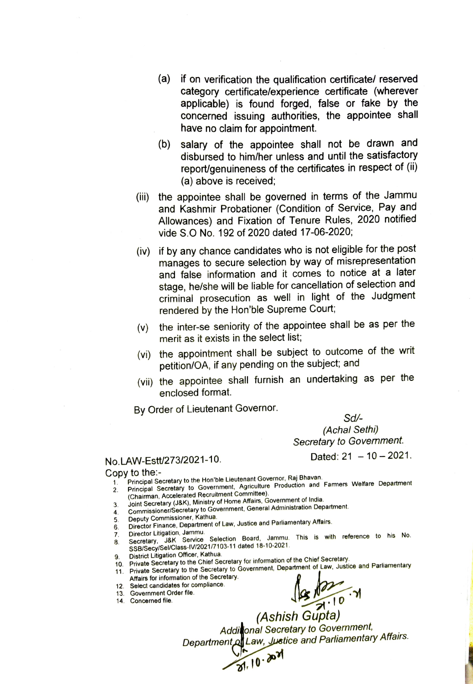- (a) if on verification the qualification certificate/ reserved category certificate/experience certificate (wherever applicable) is found forged, false or fake by concerned issuing authorities, the appointee shall have no claim for appointment.
- (b) salary of the appointee shall not be drawn and disbursed to him/her unless and until the satisfactory report/genuineness of the certificates in respect of (ii) (a) above is received;
- (iii) the appointee shall be governed in terms of the Jammu and Kashmir Probationer (Condition of Service, Pay and Allowances) and Fixation of Tenure Rules, 2020 notified vide S.O No. 192 of 2020 dated 17-06-2020,
- (iv) if by any chance candidates who is not eligible for the post manages to secure selection by way of misrepresentation and false information and it comes to notice at a later stage, he/she will be liable for cancellation of selection and criminal prosecution as well in light of the Judgment rendered by the Hon'ble Supreme Court;
- (v) the inter-se seniority of the appointee shall be as per the merit as it exists in the select list;
- (vi) the appointment shall be subject to outcome of the writ petition/OA, it any pending on the subject; and
- (vii) the appointee shall furnish an undertaking as per the enclosed format.

By Order of Lieutenant Governor.

Sd (Achal Sethi)

Secretary to Govemment.

Dated:  $21 - 10 - 2021$ .

## No.LAW-Estt/273/2021-10.

Copy to the:-

Principal Secretary to the Hon'ble Lieutenant Governor, Raj Bhavan.

- Principal Secretary to Government, Agriculture Production and Famers Welfare Department (Chairman, Accelerated Recruitment Commiftee). 1 2.
- Joint Secretary (J&K), Ministry of Home Affairs, Government of lIndia. 3.
- 4. Commissioner/Secretary to Government, General Administration Department.
- Deputy Commissioner, Kathua.
- Director Finance, Department of Law, Justice and Parliamentary Affairs. 5 6.
- 7.
- Director Litigation, Jammu.<br>Secretary, J&K. Service Selection. Board, Jammu. This is with reference to his No. SSB/Secy/Sel/Class-IV/2021/7103-11 dated 18-10-2021. 3.
- District Litigation Officer, Kathua.
- 9. District Lingation Officer, Rathua.<br>10. Private Secretary to the Chief Secretary for information of the Chief Secretary.

 $\frac{8}{81}$ , 10

- 11. Private Secretary to the Secretary to Government, Department of Law, Justice and Parliamentary Affairs for information of the Secretary.
- 12. Select candidates for compliance.
- 13. Government Order file.
- 14. Concerned file.

 $\sqrt{8 N^{10}} \cdot N$ <br>(Ashish Gupta)

Additional Secretary to Government, Department of Law, Justice and Parliamentary Affairs.